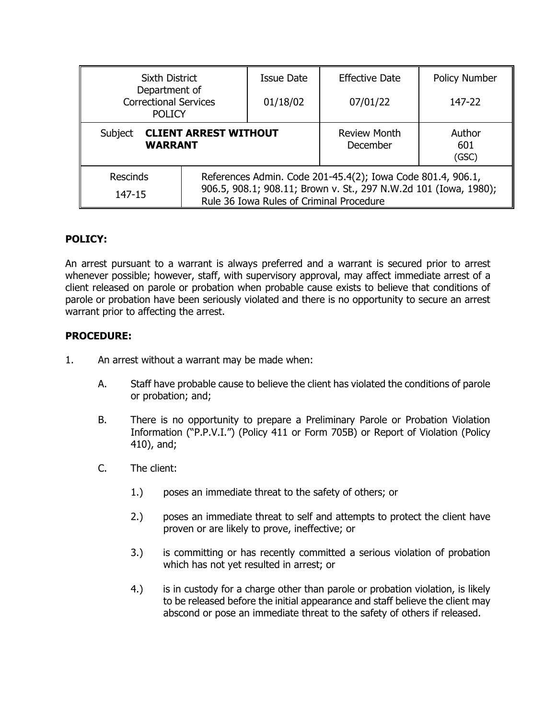| Sixth District                                                 |                                                                                                                                                                             | <b>Issue Date</b> | <b>Effective Date</b>           | <b>Policy Number</b>   |
|----------------------------------------------------------------|-----------------------------------------------------------------------------------------------------------------------------------------------------------------------------|-------------------|---------------------------------|------------------------|
| Department of<br><b>Correctional Services</b><br><b>POLICY</b> |                                                                                                                                                                             | 01/18/02          | 07/01/22                        | 147-22                 |
| Subject<br><b>CLIENT ARREST WITHOUT</b><br><b>WARRANT</b>      |                                                                                                                                                                             |                   | <b>Review Month</b><br>December | Author<br>601<br>(GSC) |
| <b>Rescinds</b><br>147-15                                      | References Admin. Code 201-45.4(2); Iowa Code 801.4, 906.1,<br>906.5, 908.1; 908.11; Brown v. St., 297 N.W.2d 101 (Iowa, 1980);<br>Rule 36 Iowa Rules of Criminal Procedure |                   |                                 |                        |

# **POLICY:**

An arrest pursuant to a warrant is always preferred and a warrant is secured prior to arrest whenever possible; however, staff, with supervisory approval, may affect immediate arrest of a client released on parole or probation when probable cause exists to believe that conditions of parole or probation have been seriously violated and there is no opportunity to secure an arrest warrant prior to affecting the arrest.

# **PROCEDURE:**

- 1. An arrest without a warrant may be made when:
	- A. Staff have probable cause to believe the client has violated the conditions of parole or probation; and;
	- B. There is no opportunity to prepare a Preliminary Parole or Probation Violation Information ("P.P.V.I.") (Policy 411 or Form 705B) or Report of Violation (Policy 410), and;
	- C. The client:
		- 1.) poses an immediate threat to the safety of others; or
		- 2.) poses an immediate threat to self and attempts to protect the client have proven or are likely to prove, ineffective; or
		- 3.) is committing or has recently committed a serious violation of probation which has not yet resulted in arrest; or
		- 4.) is in custody for a charge other than parole or probation violation, is likely to be released before the initial appearance and staff believe the client may abscond or pose an immediate threat to the safety of others if released.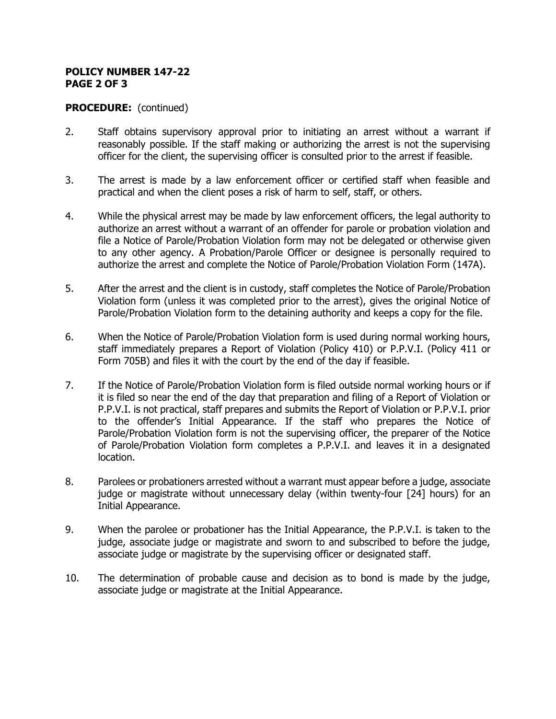### **POLICY NUMBER 147-22 PAGE 2 OF 3**

## **PROCEDURE:** (continued)

- 2. Staff obtains supervisory approval prior to initiating an arrest without a warrant if reasonably possible. If the staff making or authorizing the arrest is not the supervising officer for the client, the supervising officer is consulted prior to the arrest if feasible.
- 3. The arrest is made by a law enforcement officer or certified staff when feasible and practical and when the client poses a risk of harm to self, staff, or others.
- 4. While the physical arrest may be made by law enforcement officers, the legal authority to authorize an arrest without a warrant of an offender for parole or probation violation and file a Notice of Parole/Probation Violation form may not be delegated or otherwise given to any other agency. A Probation/Parole Officer or designee is personally required to authorize the arrest and complete the Notice of Parole/Probation Violation Form (147A).
- 5. After the arrest and the client is in custody, staff completes the Notice of Parole/Probation Violation form (unless it was completed prior to the arrest), gives the original Notice of Parole/Probation Violation form to the detaining authority and keeps a copy for the file.
- 6. When the Notice of Parole/Probation Violation form is used during normal working hours, staff immediately prepares a Report of Violation (Policy 410) or P.P.V.I. (Policy 411 or Form 705B) and files it with the court by the end of the day if feasible.
- 7. If the Notice of Parole/Probation Violation form is filed outside normal working hours or if it is filed so near the end of the day that preparation and filing of a Report of Violation or P.P.V.I. is not practical, staff prepares and submits the Report of Violation or P.P.V.I. prior to the offender's Initial Appearance. If the staff who prepares the Notice of Parole/Probation Violation form is not the supervising officer, the preparer of the Notice of Parole/Probation Violation form completes a P.P.V.I. and leaves it in a designated location.
- 8. Parolees or probationers arrested without a warrant must appear before a judge, associate judge or magistrate without unnecessary delay (within twenty-four [24] hours) for an Initial Appearance.
- 9. When the parolee or probationer has the Initial Appearance, the P.P.V.I. is taken to the judge, associate judge or magistrate and sworn to and subscribed to before the judge, associate judge or magistrate by the supervising officer or designated staff.
- 10. The determination of probable cause and decision as to bond is made by the judge, associate judge or magistrate at the Initial Appearance.